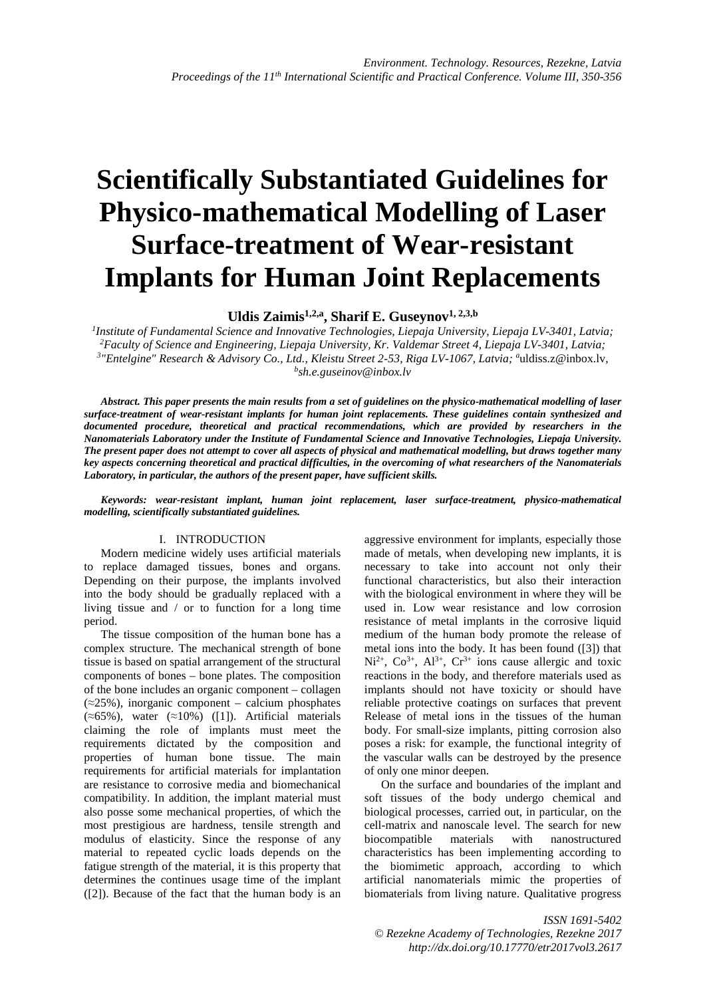# **Scientifically Substantiated Guidelines for Physico-mathematical Modelling of Laser Surface-treatment of Wear-resistant Implants for Human Joint Replacements**

**Uldis Zaimis1,2,a, Sharif E. Guseynov1, 2,3,b** 

*1 Institute of Fundamental Science and Innovative Technologies, Liepaja University, Liepaja LV-3401, Latvia; <sup>2</sup>Faculty of Science and Engineering, Liepaja University, Kr. Valdemar Street 4, Liepaja LV-3401, Latvia;*  <sup>3</sup>"Entelgine" Research & Advisory Co., Ltd., Kleistu Street 2-53, Riga LV-1067, Latvia; <sup>a</sup>uldiss.z@inbox.lv, *b sh.e.guseinov@inbox.lv* 

*Abstract. This paper presents the main results from a set of guidelines on the physico-mathematical modelling of laser surface-treatment of wear-resistant implants for human joint replacements. These guidelines contain synthesized and documented procedure, theoretical and practical recommendations, which are provided by researchers in the Nanomaterials Laboratory under the Institute of Fundamental Science and Innovative Technologies, Liepaja University. The present paper does not attempt to cover all aspects of physical and mathematical modelling, but draws together many key aspects concerning theoretical and practical difficulties, in the overcoming of what researchers of the Nanomaterials Laboratory, in particular, the authors of the present paper, have sufficient skills.* 

*Keywords: wear-resistant implant, human joint replacement, laser surface-treatment, physico-mathematical modelling, scientifically substantiated guidelines.*

## I. INTRODUCTION

Modern medicine widely uses artificial materials to replace damaged tissues, bones and organs. Depending on their purpose, the implants involved into the body should be gradually replaced with a living tissue and / or to function for a long time period.

The tissue composition of the human bone has a complex structure. The mechanical strength of bone tissue is based on spatial arrangement of the structural components of bones – bone plates. The composition of the bone includes an organic component – collagen  $(\approx 25\%)$ , inorganic component – calcium phosphates  $(\approx 65\%)$ , water  $(\approx 10\%)$  ([1]). Artificial materials claiming the role of implants must meet the requirements dictated by the composition and properties of human bone tissue. The main requirements for artificial materials for implantation are resistance to corrosive media and biomechanical compatibility. In addition, the implant material must also posse some mechanical properties, of which the most prestigious are hardness, tensile strength and modulus of elasticity. Since the response of any material to repeated cyclic loads depends on the fatigue strength of the material, it is this property that determines the continues usage time of the implant ([2]). Because of the fact that the human body is an

aggressive environment for implants, especially those made of metals, when developing new implants, it is necessary to take into account not only their functional characteristics, but also their interaction with the biological environment in where they will be used in. Low wear resistance and low corrosion resistance of metal implants in the corrosive liquid medium of the human body promote the release of metal ions into the body. It has been found ([3]) that  $Ni^{2+}$ ,  $Co^{3+}$ ,  $Al^{3+}$ ,  $Cr^{3+}$  ions cause allergic and toxic reactions in the body, and therefore materials used as implants should not have toxicity or should have reliable protective coatings on surfaces that prevent Release of metal ions in the tissues of the human body. For small-size implants, pitting corrosion also poses a risk: for example, the functional integrity of the vascular walls can be destroyed by the presence of only one minor deepen.

On the surface and boundaries of the implant and soft tissues of the body undergo chemical and biological processes, carried out, in particular, on the cell-matrix and nanoscale level. The search for new biocompatible materials with nanostructured characteristics has been implementing according to the biomimetic approach, according to which artificial nanomaterials mimic the properties of biomaterials from living nature. Qualitative progress

*ISSN 1691-5402 © Rezekne Academy of Technologies, Rezekne 2017 http://dx.doi.org/10.17770/etr2017vol3.2617*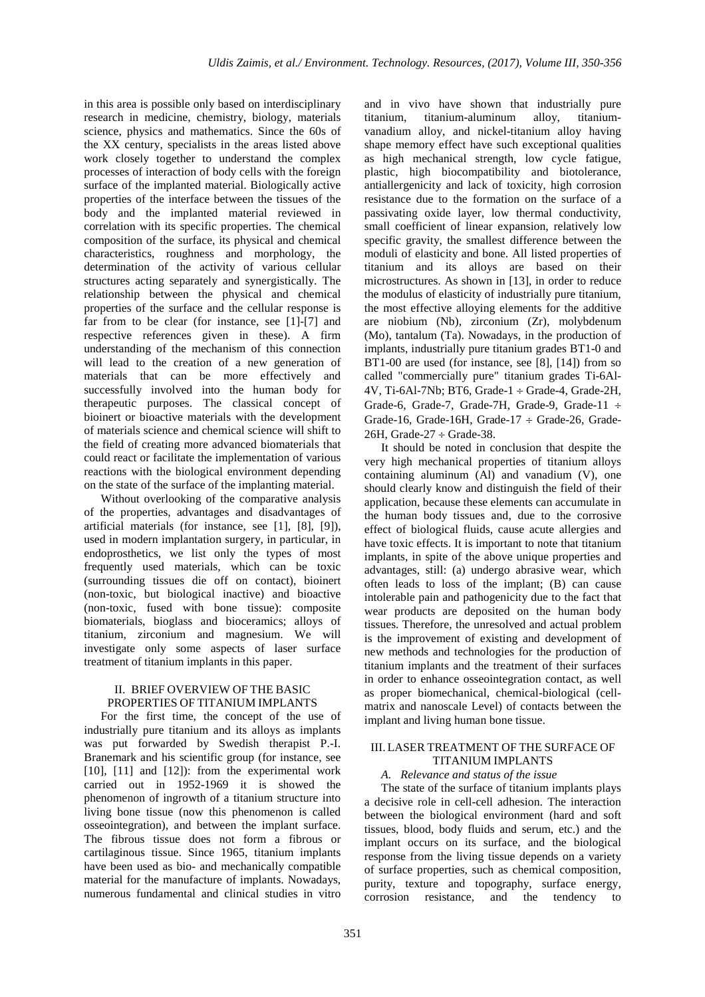in this area is possible only based on interdisciplinary research in medicine, chemistry, biology, materials science, physics and mathematics. Since the 60s of the XX century, specialists in the areas listed above work closely together to understand the complex processes of interaction of body cells with the foreign surface of the implanted material. Biologically active properties of the interface between the tissues of the body and the implanted material reviewed in correlation with its specific properties. The chemical composition of the surface, its physical and chemical characteristics, roughness and morphology, the determination of the activity of various cellular structures acting separately and synergistically. The relationship between the physical and chemical properties of the surface and the cellular response is far from to be clear (for instance, see [1]-[7] and respective references given in these). A firm understanding of the mechanism of this connection will lead to the creation of a new generation of materials that can be more effectively and successfully involved into the human body for therapeutic purposes. The classical concept of bioinert or bioactive materials with the development of materials science and chemical science will shift to the field of creating more advanced biomaterials that could react or facilitate the implementation of various reactions with the biological environment depending on the state of the surface of the implanting material.

Without overlooking of the comparative analysis of the properties, advantages and disadvantages of artificial materials (for instance, see [1], [8], [9]), used in modern implantation surgery, in particular, in endoprosthetics, we list only the types of most frequently used materials, which can be toxic (surrounding tissues die off on contact), bioinert (non-toxic, but biological inactive) and bioactive (non-toxic, fused with bone tissue): composite biomaterials, bioglass and bioceramics; alloys of titanium, zirconium and magnesium. We will investigate only some aspects of laser surface treatment of titanium implants in this paper.

## II. BRIEF OVERVIEW OF THE BASIC PROPERTIES OF TITANIUM IMPLANTS

For the first time, the concept of the use of industrially pure titanium and its alloys as implants was put forwarded by Swedish therapist P.-I. Branemark and his scientific group (for instance, see [10], [11] and [12]): from the experimental work carried out in 1952-1969 it is showed the phenomenon of ingrowth of a titanium structure into living bone tissue (now this phenomenon is called osseointegration), and between the implant surface. The fibrous tissue does not form a fibrous or cartilaginous tissue. Since 1965, titanium implants have been used as bio- and mechanically compatible material for the manufacture of implants. Nowadays, numerous fundamental and clinical studies in vitro

and in vivo have shown that industrially pure titanium, titanium-aluminum alloy, titaniumvanadium alloy, and nickel-titanium alloy having shape memory effect have such exceptional qualities as high mechanical strength, low cycle fatigue, plastic, high biocompatibility and biotolerance, antiallergenicity and lack of toxicity, high corrosion resistance due to the formation on the surface of a passivating oxide layer, low thermal conductivity, small coefficient of linear expansion, relatively low specific gravity, the smallest difference between the moduli of elasticity and bone. All listed properties of titanium and its alloys are based on their microstructures. As shown in [13], in order to reduce the modulus of elasticity of industrially pure titanium, the most effective alloying elements for the additive are niobium (Nb), zirconium (Zr), molybdenum (Mo), tantalum (Ta). Nowadays, in the production of implants, industrially pure titanium grades BT1-0 and BT1-00 are used (for instance, see [8], [14]) from so called "commercially pure" titanium grades Ti-6Al-4V, Ti-6Al-7Nb; BT6, Grade-1 ÷ Grade-4, Grade-2H, Grade-6, Grade-7, Grade-7H, Grade-9, Grade-11 ÷ Grade-16, Grade-16H, Grade-17  $\div$  Grade-26, Grade-26H, Grade-27  $\div$  Grade-38.

It should be noted in conclusion that despite the very high mechanical properties of titanium alloys containing aluminum (Al) and vanadium (V), one should clearly know and distinguish the field of their application, because these elements can accumulate in the human body tissues and, due to the corrosive effect of biological fluids, cause acute allergies and have toxic effects. It is important to note that titanium implants, in spite of the above unique properties and advantages, still: (a) undergo abrasive wear, which often leads to loss of the implant; (B) can cause intolerable pain and pathogenicity due to the fact that wear products are deposited on the human body tissues. Therefore, the unresolved and actual problem is the improvement of existing and development of new methods and technologies for the production of titanium implants and the treatment of their surfaces in order to enhance osseointegration contact, as well as proper biomechanical, chemical-biological (cellmatrix and nanoscale Level) of contacts between the implant and living human bone tissue.

# III. LASER TREATMENT OF THE SURFACE OF TITANIUM IMPLANTS

# *A. Relevance and status of the issue*

The state of the surface of titanium implants plays a decisive role in cell-cell adhesion. The interaction between the biological environment (hard and soft tissues, blood, body fluids and serum, etc.) and the implant occurs on its surface, and the biological response from the living tissue depends on a variety of surface properties, such as chemical composition, purity, texture and topography, surface energy, corrosion resistance, and the tendency to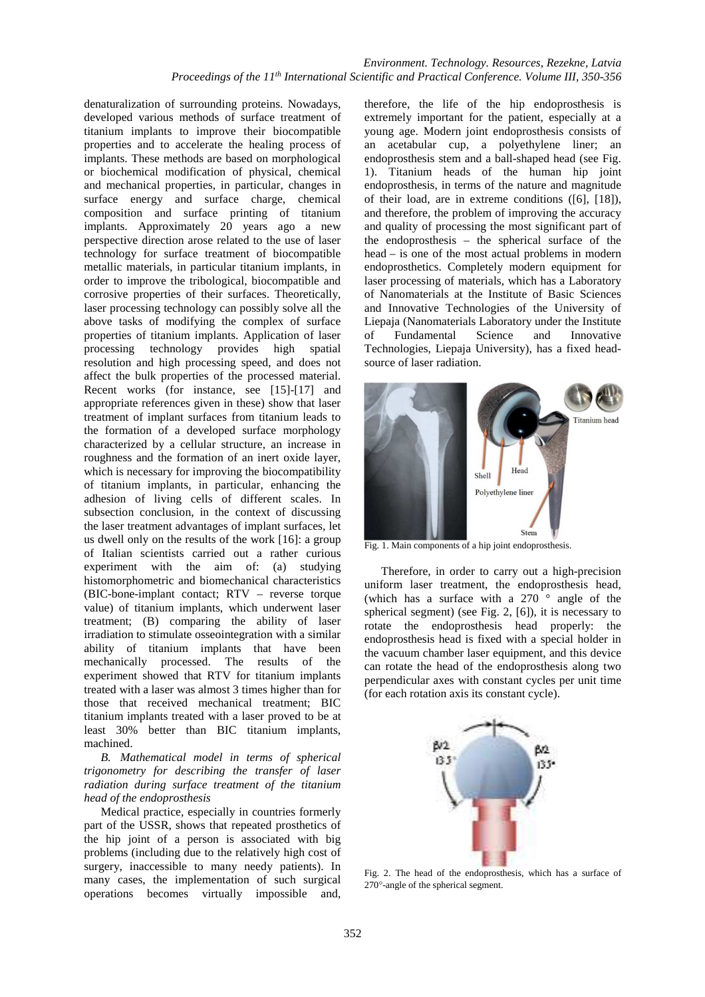denaturalization of surrounding proteins. Nowadays, developed various methods of surface treatment of titanium implants to improve their biocompatible properties and to accelerate the healing process of implants. These methods are based on morphological or biochemical modification of physical, chemical and mechanical properties, in particular, changes in surface energy and surface charge, chemical composition and surface printing of titanium implants. Approximately 20 years ago a new perspective direction arose related to the use of laser technology for surface treatment of biocompatible metallic materials, in particular titanium implants, in order to improve the tribological, biocompatible and corrosive properties of their surfaces. Theoretically, laser processing technology can possibly solve all the above tasks of modifying the complex of surface properties of titanium implants. Application of laser processing technology provides high spatial resolution and high processing speed, and does not affect the bulk properties of the processed material. Recent works (for instance, see [15]-[17] and appropriate references given in these) show that laser treatment of implant surfaces from titanium leads to the formation of a developed surface morphology characterized by a cellular structure, an increase in roughness and the formation of an inert oxide layer, which is necessary for improving the biocompatibility of titanium implants, in particular, enhancing the adhesion of living cells of different scales. In subsection conclusion, in the context of discussing the laser treatment advantages of implant surfaces, let us dwell only on the results of the work [16]: a group of Italian scientists carried out a rather curious experiment with the aim of: (a) studying histomorphometric and biomechanical characteristics (BIC-bone-implant contact; RTV – reverse torque value) of titanium implants, which underwent laser treatment; (B) comparing the ability of laser irradiation to stimulate osseointegration with a similar ability of titanium implants that have been mechanically processed. The results of the experiment showed that RTV for titanium implants treated with a laser was almost 3 times higher than for those that received mechanical treatment; BIC titanium implants treated with a laser proved to be at least 30% better than BIC titanium implants, machined.

*B. Mathematical model in terms of spherical trigonometry for describing the transfer of laser radiation during surface treatment of the titanium head of the endoprosthesis* 

Medical practice, especially in countries formerly part of the USSR, shows that repeated prosthetics of the hip joint of a person is associated with big problems (including due to the relatively high cost of surgery, inaccessible to many needy patients). In many cases, the implementation of such surgical operations becomes virtually impossible and,

therefore, the life of the hip endoprosthesis is extremely important for the patient, especially at a young age. Modern joint endoprosthesis consists of an acetabular cup, a polyethylene liner; an endoprosthesis stem and a ball-shaped head (see Fig. 1). Titanium heads of the human hip joint endoprosthesis, in terms of the nature and magnitude of their load, are in extreme conditions ([6], [18]), and therefore, the problem of improving the accuracy and quality of processing the most significant part of the endoprosthesis – the spherical surface of the head – is one of the most actual problems in modern endoprosthetics. Completely modern equipment for laser processing of materials, which has a Laboratory of Nanomaterials at the Institute of Basic Sciences and Innovative Technologies of the University of Liepaja (Nanomaterials Laboratory under the Institute of Fundamental Science and Innovative Technologies, Liepaja University), has a fixed headsource of laser radiation.



Fig. 1. Main components of a hip joint endoprosthesis.

Therefore, in order to carry out a high-precision uniform laser treatment, the endoprosthesis head, (which has a surface with a  $270^\circ$  angle of the spherical segment) (see Fig. 2, [6]), it is necessary to rotate the endoprosthesis head properly: the endoprosthesis head is fixed with a special holder in the vacuum chamber laser equipment, and this device can rotate the head of the endoprosthesis along two perpendicular axes with constant cycles per unit time (for each rotation axis its constant cycle).



Fig. 2. The head of the endoprosthesis, which has a surface of 270°-angle of the spherical segment.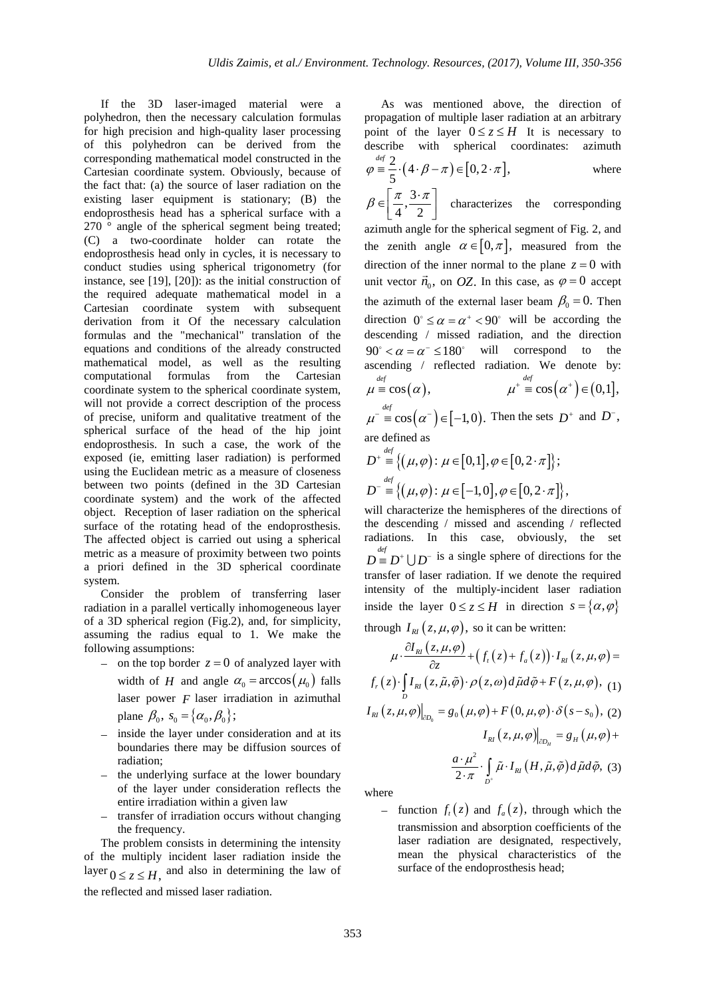If the 3D laser-imaged material were a polyhedron, then the necessary calculation formulas for high precision and high-quality laser processing of this polyhedron can be derived from the corresponding mathematical model constructed in the Cartesian coordinate system. Obviously, because of the fact that: (a) the source of laser radiation on the existing laser equipment is stationary; (B) the endoprosthesis head has a spherical surface with a 270 ° angle of the spherical segment being treated; (C) a two-coordinate holder can rotate the endoprosthesis head only in cycles, it is necessary to conduct studies using spherical trigonometry (for instance, see [19], [20]): as the initial construction of the required adequate mathematical model in a Cartesian coordinate system with subsequent derivation from it Of the necessary calculation formulas and the "mechanical" translation of the equations and conditions of the already constructed mathematical model, as well as the resulting computational formulas from the Cartesian coordinate system to the spherical coordinate system, will not provide a correct description of the process of precise, uniform and qualitative treatment of the spherical surface of the head of the hip joint endoprosthesis. In such a case, the work of the exposed (ie, emitting laser radiation) is performed using the Euclidean metric as a measure of closeness between two points (defined in the 3D Cartesian coordinate system) and the work of the affected object. Reception of laser radiation on the spherical surface of the rotating head of the endoprosthesis. The affected object is carried out using a spherical metric as a measure of proximity between two points a priori defined in the 3D spherical coordinate system.

Consider the problem of transferring laser radiation in a parallel vertically inhomogeneous layer of a 3D spherical region (Fig.2), and, for simplicity, assuming the radius equal to 1. We make the following assumptions:

- − on the top border *z* = 0 of analyzed layer with width of *H* and angle  $\alpha_0 = \arccos(\mu_0)$  falls laser power *F* laser irradiation in azimuthal plane  $\beta_0$ ,  $s_0 = {\alpha_0, \beta_0};$
- − inside the layer under consideration and at its boundaries there may be diffusion sources of radiation;
- − the underlying surface at the lower boundary of the layer under consideration reflects the entire irradiation within a given law
- transfer of irradiation occurs without changing the frequency.

The problem consists in determining the intensity of the multiply incident laser radiation inside the layer  $0 \le z \le H$ , and also in determining the law of the reflected and missed laser radiation.

As was mentioned above, the direction of propagation of multiple laser radiation at an arbitrary point of the layer  $0 \le z \le H$  It is necessary to describe with spherical coordinates: azimuth  $\frac{2}{5} \cdot (4 \cdot \beta - \pi) \in [0, 2 \cdot \pi],$  $\varphi \stackrel{\text{def}}{=} \frac{2}{\tau} \cdot (4 \cdot \beta - \pi) \in [0, 2 \cdot \pi],$  where

5  $\frac{3}{2}$ 4 2  $\beta \in \left[\frac{\pi}{4}, \frac{3 \cdot \pi}{2}\right]$  characterizes the corresponding azimuth angle for the spherical segment of Fig. 2, and the zenith angle  $\alpha \in [0, \pi]$ , measured from the direction of the inner normal to the plane  $z = 0$  with unit vector  $\vec{n}_0$ , on *OZ*. In this case, as  $\varphi = 0$  accept the azimuth of the external laser beam  $\beta_0 = 0$ . Then direction  $0^\circ \le \alpha = \alpha^+ < 90^\circ$  will be according the descending / missed radiation, and the direction  $90^\circ < \alpha = \alpha^- \le 180^\circ$  will correspond to the ascending / reflected radiation. We denote by:  $\stackrel{def}{=} \cos(\alpha),$  $\mu \stackrel{\text{def}}{=} \cos(\alpha), \qquad \qquad \mu^+ \stackrel{\text{def}}{=} \cos(\alpha^+) \in (0,1],$  $\mu^{-} \equiv \cos(\alpha^{-}) \in [-1,0)$ . Then the sets  $D^{+}$  and  $D^{-}$ ,

are defined as

$$
D^+ \stackrel{\text{def}}{=} \{ (\mu, \varphi) \colon \mu \in [0, 1], \varphi \in [0, 2 \cdot \pi] \};
$$
  

$$
D^- \stackrel{\text{def}}{=} \{ (\mu, \varphi) \colon \mu \in [-1, 0], \varphi \in [0, 2 \cdot \pi] \},
$$

will characterize the hemispheres of the directions of the descending / missed and ascending / reflected radiations. In this case, obviously, the  $D \stackrel{\text{def}}{=} D^+ \bigcup D^-$  is a single sphere of directions for the transfer of laser radiation. If we denote the required intensity of the multiply-incident laser radiation inside the layer  $0 \le z \le H$  in direction  $s = \{\alpha, \varphi\}$  $\frac{1}{2}$  **I**  $\frac{1}{2}$  ( , , , , ) so it can be written:

through 
$$
I_{RI}(z, \mu, \varphi)
$$
, so it can be written:

$$
\mu \cdot \frac{\partial I_{\kappa l}(z, \mu, \varphi)}{\partial z} + (f_{\iota}(z) + f_{\alpha}(z)) \cdot I_{\kappa l}(z, \mu, \varphi) =
$$
  

$$
f_{r}(z) \cdot \int_{D} I_{\kappa l}(z, \tilde{\mu}, \tilde{\varphi}) \cdot \rho(z, \omega) d\tilde{\mu} d\tilde{\varphi} + F(z, \mu, \varphi),
$$
 (1)  

$$
I_{\kappa l}(z, \mu, \varphi) \Big|_{\partial D_{0}} = g_{0}(\mu, \varphi) + F(0, \mu, \varphi) \cdot \delta(s - s_{0}),
$$
 (2)

$$
I_{RI}(z,\mu,\varphi)|_{\partial D_H} = g_H(\mu,\varphi) + \frac{a \cdot \mu^2}{2 \cdot \pi} \cdot \int_{D^+} \tilde{\mu} \cdot I_{RI}(H,\tilde{\mu},\tilde{\varphi}) d\tilde{\mu} d\tilde{\varphi},
$$
 (3)

where

 $-$  function  $f_i(z)$  and  $f_a(z)$ , through which the transmission and absorption coefficients of the laser radiation are designated, respectively, mean the physical characteristics of the surface of the endoprosthesis head;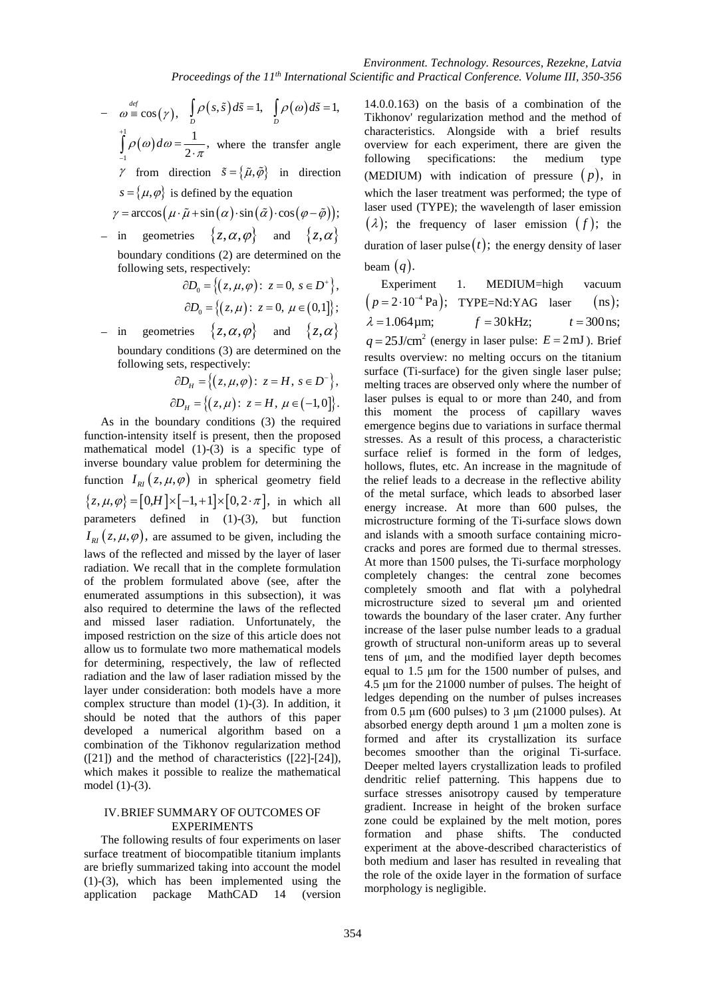$-\omega \equiv \cos(\gamma), \quad \int \rho(s,\tilde{s}) d\tilde{s} = 1,$  $\int_D \rho(s,\tilde{s}) d\tilde{s} = 1, \quad \int_D \rho(\omega) d\tilde{s} = 1,$  $\int\limits_{D}\rho(\omega)d\tilde{s}=$ +

 $\int\limits_0^1\rho(\mathbf{\omega})\mathbf{\omega}$ 1  $\frac{1}{\ }$ 2  $\rho(\omega)d\omega = \frac{1}{2 \cdot \pi}$ − =  $\int_{-1}^{1} \rho(\omega) d\omega = \frac{1}{2 \cdot \pi}$ , where the transfer angle

 $\gamma$  from direction  $\tilde{s} = {\tilde{\mu}, \tilde{\varphi}}$  in direction  $s = {\mu, \varphi}$  is defined by the equation

$$
\gamma = \arccos(\mu \cdot \tilde{\mu} + \sin(\alpha) \cdot \sin(\tilde{\alpha}) \cdot \cos(\varphi - \tilde{\varphi}));
$$

in geometries  $\{z, \alpha, \varphi\}$  and  $\{z, \alpha\}$ boundary conditions (2) are determined on the following sets, respectively:

$$
\partial D_0 = \left\{ (z, \mu, \varphi) : z = 0, s \in D^+ \right\},\
$$

$$
\partial D_0 = \left\{ (z, \mu) : z = 0, \mu \in (0,1] \right\};
$$

in geometries  $\{z, \alpha, \varphi\}$  and  $\{z, \alpha\}$ boundary conditions (3) are determined on the following sets, respectively:

$$
\partial D_{H} = \left\{ (z, \mu, \varphi) : z = H, s \in D^{-} \right\},\
$$
  

$$
\partial D_{H} = \left\{ (z, \mu) : z = H, \mu \in (-1,0] \right\}.
$$

As in the boundary conditions (3) the required function-intensity itself is present, then the proposed mathematical model (1)-(3) is a specific type of inverse boundary value problem for determining the function  $I_{RI}(z, \mu, \varphi)$  in spherical geometry field  $\{z, \mu, \varphi\} = [0, H] \times [-1, +1] \times [0, 2 \cdot \pi]$ , in which all parameters defined in (1)-(3), but function  $I_{\scriptscriptstyle{RI}}(z,\mu,\varphi)$ , are assumed to be given, including the laws of the reflected and missed by the layer of laser radiation. We recall that in the complete formulation of the problem formulated above (see, after the enumerated assumptions in this subsection), it was also required to determine the laws of the reflected and missed laser radiation. Unfortunately, the imposed restriction on the size of this article does not allow us to formulate two more mathematical models for determining, respectively, the law of reflected radiation and the law of laser radiation missed by the layer under consideration: both models have a more complex structure than model (1)-(3). In addition, it should be noted that the authors of this paper developed a numerical algorithm based on a combination of the Tikhonov regularization method  $(21)$  and the method of characteristics  $(22]$ - $[24]$ ), which makes it possible to realize the mathematical model (1)-(3).

## IV.BRIEF SUMMARY OF OUTCOMES OF EXPERIMENTS

The following results of four experiments on laser surface treatment of biocompatible titanium implants are briefly summarized taking into account the model (1)-(3), which has been implemented using the application package MathCAD 14 (version

14.0.0.163) on the basis of a combination of the Tikhonov' regularization method and the method of characteristics. Alongside with a brief results overview for each experiment, there are given the following specifications: the medium type (MEDIUM) with indication of pressure  $(p)$ , in which the laser treatment was performed; the type of laser used (TYPE); the wavelength of laser emission  $(\lambda)$ ; the frequency of laser emission  $(f)$ ; the duration of laser pulse  $(t)$ ; the energy density of laser beam (*q*).

Experiment 1. MEDIUM=high vacuum  $(p=2.10^{-4} \text{ Pa}); \text{ TYPE}=Nd:YAG \text{ laser} \text{ (ns)};$  $\lambda = 1.064 \text{µm};$   $f = 30 \text{kHz};$   $t = 300 \text{ns};$  $q = 25$ J/cm<sup>2</sup> (energy in laser pulse:  $E = 2$ mJ). Brief results overview: no melting occurs on the titanium surface (Ti-surface) for the given single laser pulse; melting traces are observed only where the number of laser pulses is equal to or more than 240, and from this moment the process of capillary waves emergence begins due to variations in surface thermal stresses. As a result of this process, a characteristic surface relief is formed in the form of ledges, hollows, flutes, etc. An increase in the magnitude of the relief leads to a decrease in the reflective ability of the metal surface, which leads to absorbed laser energy increase. At more than 600 pulses, the microstructure forming of the Ti-surface slows down and islands with a smooth surface containing microcracks and pores are formed due to thermal stresses. At more than 1500 pulses, the Ti-surface morphology completely changes: the central zone becomes completely smooth and flat with a polyhedral microstructure sized to several μm and oriented towards the boundary of the laser crater. Any further increase of the laser pulse number leads to a gradual growth of structural non-uniform areas up to several tens of μm, and the modified layer depth becomes equal to 1.5 μm for the 1500 number of pulses, and 4.5 μm for the 21000 number of pulses. The height of ledges depending on the number of pulses increases from  $0.5 \mu m$  (600 pulses) to  $3 \mu m$  (21000 pulses). At absorbed energy depth around 1 μm a molten zone is formed and after its crystallization its surface becomes smoother than the original Ti-surface. Deeper melted layers crystallization leads to profiled dendritic relief patterning. This happens due to surface stresses anisotropy caused by temperature gradient. Increase in height of the broken surface zone could be explained by the melt motion, pores formation and phase shifts. The conducted experiment at the above-described characteristics of both medium and laser has resulted in revealing that the role of the oxide layer in the formation of surface morphology is negligible.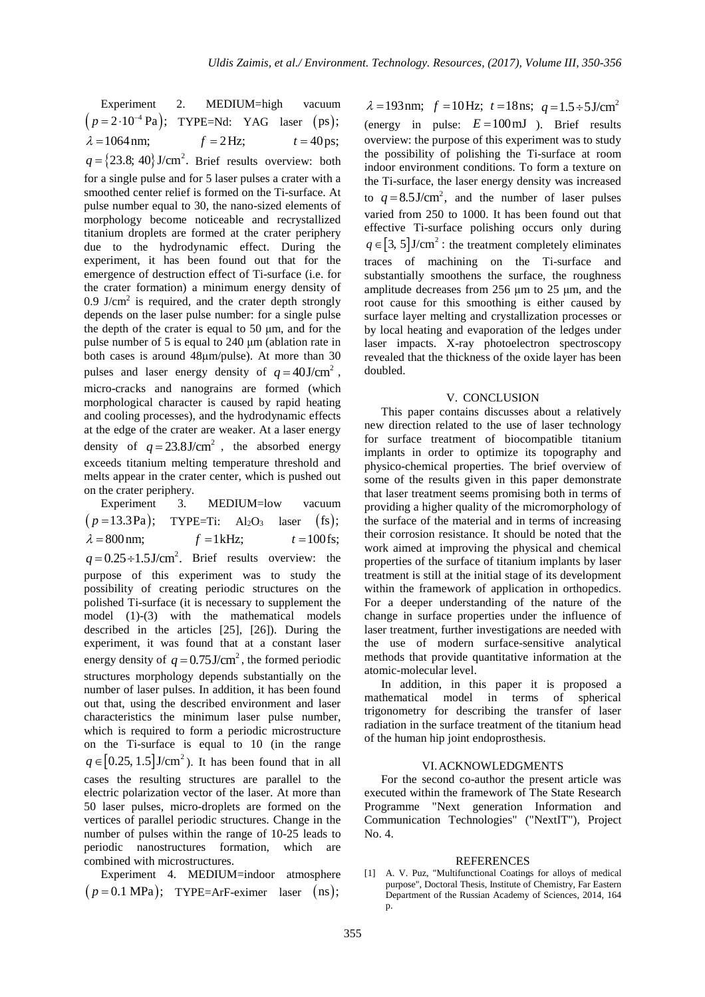| Experiment 2. MEDIUM=high vacuum                                      |  |  |
|-----------------------------------------------------------------------|--|--|
| $(p=2.10^{-4} \text{ Pa});$ TYPE=Nd: YAG laser (ps);                  |  |  |
| $\lambda = 1064 \text{ nm};$ $f = 2 \text{ Hz};$ $t = 40 \text{ ps};$ |  |  |
| $q = \{23.8, 40\}$ J/cm <sup>2</sup> . Brief results overview: both   |  |  |

for a single pulse and for 5 laser pulses a crater with a smoothed center relief is formed on the Ti-surface. At pulse number equal to 30, the nano-sized elements of morphology become noticeable and recrystallized titanium droplets are formed at the crater periphery due to the hydrodynamic effect. During the experiment, it has been found out that for the emergence of destruction effect of Ti-surface (i.e. for the crater formation) a minimum energy density of  $0.9$  J/cm<sup>2</sup> is required, and the crater depth strongly depends on the laser pulse number: for a single pulse the depth of the crater is equal to 50  $\mu$ m, and for the pulse number of 5 is equal to 240 μm (ablation rate in both cases is around 48μm/pulse). At more than 30 pulses and laser energy density of  $q = 40 \text{ J/cm}^2$ , micro-cracks and nanograins are formed (which morphological character is caused by rapid heating and cooling processes), and the hydrodynamic effects at the edge of the crater are weaker. At a laser energy density of  $q = 23.8 \text{ J/cm}^2$ , the absorbed energy exceeds titanium melting temperature threshold and melts appear in the crater center, which is pushed out on the crater periphery.

Experiment 3. MEDIUM=low vacuum  $(p=13.3Pa);$  TYPE=Ti:  $Al_2O_3$  laser (fs);  $\lambda = 800 \text{ nm};$   $f = 1 \text{ kHz};$   $t = 100 \text{ fs};$  $q = 0.25 \div 1.5 \text{ J/cm}^2$ . Brief results overview: the purpose of this experiment was to study the possibility of creating periodic structures on the polished Ti-surface (it is necessary to supplement the model (1)-(3) with the mathematical models described in the articles [25], [26]). During the experiment, it was found that at a constant laser energy density of  $q = 0.75$  J/cm<sup>2</sup>, the formed periodic structures morphology depends substantially on the number of laser pulses. In addition, it has been found out that, using the described environment and laser characteristics the minimum laser pulse number, which is required to form a periodic microstructure on the Ti-surface is equal to 10 (in the range  $q \in [0.25, 1.5]$ J/cm<sup>2</sup>). It has been found that in all cases the resulting structures are parallel to the electric polarization vector of the laser. At more than 50 laser pulses, micro-droplets are formed on the vertices of parallel periodic structures. Change in the number of pulses within the range of 10-25 leads to periodic nanostructures formation, which are combined with microstructures.

Experiment 4. MEDIUM=indoor atmosphere  $(p=0.1 \text{ MPa})$ ; TYPE=ArF-eximer laser (ns);

 $\lambda = 193 \text{ nm};$   $f = 10 \text{ Hz};$   $t = 18 \text{ ns};$   $q = 1.5 \div 5 \text{ J/cm}^2$ (energy in pulse:  $E = 100 \text{ mJ}$ ). Brief results overview: the purpose of this experiment was to study the possibility of polishing the Ti-surface at room indoor environment conditions. To form a texture on the Ti-surface, the laser energy density was increased to  $q = 8.5 \text{ J/cm}^2$ , and the number of laser pulses varied from 250 to 1000. It has been found out that effective Ti-surface polishing occurs only during  $q \in [3, 5]$ J/cm<sup>2</sup>: the treatment completely eliminates traces of machining on the Ti-surface and substantially smoothens the surface, the roughness amplitude decreases from 256 μm to 25 μm, and the root cause for this smoothing is either caused by surface layer melting and crystallization processes or by local heating and evaporation of the ledges under laser impacts. X-ray photoelectron spectroscopy revealed that the thickness of the oxide layer has been doubled.

#### V. CONCLUSION

This paper contains discusses about a relatively new direction related to the use of laser technology for surface treatment of biocompatible titanium implants in order to optimize its topography and physico-chemical properties. The brief overview of some of the results given in this paper demonstrate that laser treatment seems promising both in terms of providing a higher quality of the micromorphology of the surface of the material and in terms of increasing their corrosion resistance. It should be noted that the work aimed at improving the physical and chemical properties of the surface of titanium implants by laser treatment is still at the initial stage of its development within the framework of application in orthopedics. For a deeper understanding of the nature of the change in surface properties under the influence of laser treatment, further investigations are needed with the use of modern surface-sensitive analytical methods that provide quantitative information at the atomic-molecular level.

In addition, in this paper it is proposed a mathematical model in terms of spherical trigonometry for describing the transfer of laser radiation in the surface treatment of the titanium head of the human hip joint endoprosthesis.

#### VI.ACKNOWLEDGMENTS

For the second co-author the present article was executed within the framework of The State Research Programme "Next generation Information and Communication Technologies" ("NextIT"), Project No. 4.

### **REFERENCES**

[1] A. V. Puz, "Multifunctional Coatings for alloys of medical purpose", Doctoral Thesis, Institute of Chemistry, Far Eastern Department of the Russian Academy of Sciences, 2014, 164 p.